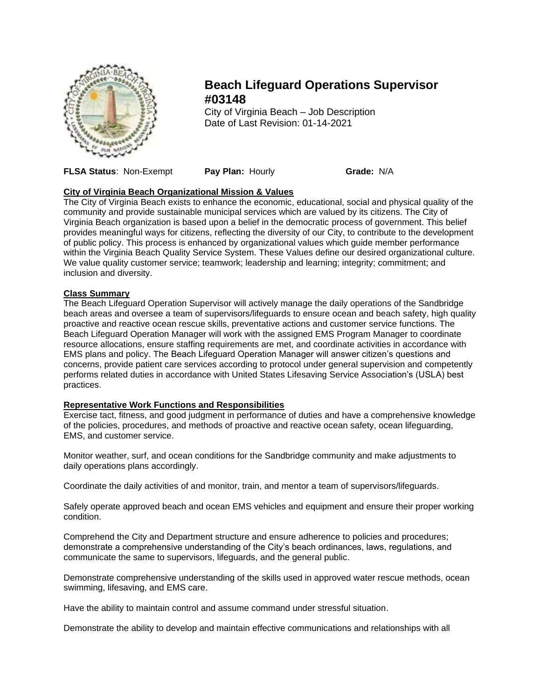

# **Beach Lifeguard Operations Supervisor #03148**

City of Virginia Beach – Job Description Date of Last Revision: 01-14-2021

**FLSA Status**: Non-Exempt **Pay Plan:** Hourly **Grade:** N/A

## **City of Virginia Beach Organizational Mission & Values**

The City of Virginia Beach exists to enhance the economic, educational, social and physical quality of the community and provide sustainable municipal services which are valued by its citizens. The City of Virginia Beach organization is based upon a belief in the democratic process of government. This belief provides meaningful ways for citizens, reflecting the diversity of our City, to contribute to the development of public policy. This process is enhanced by organizational values which guide member performance within the Virginia Beach Quality Service System. These Values define our desired organizational culture. We value quality customer service; teamwork; leadership and learning; integrity; commitment; and inclusion and diversity.

## **Class Summary**

The Beach Lifeguard Operation Supervisor will actively manage the daily operations of the Sandbridge beach areas and oversee a team of supervisors/lifeguards to ensure ocean and beach safety, high quality proactive and reactive ocean rescue skills, preventative actions and customer service functions. The Beach Lifeguard Operation Manager will work with the assigned EMS Program Manager to coordinate resource allocations, ensure staffing requirements are met, and coordinate activities in accordance with EMS plans and policy. The Beach Lifeguard Operation Manager will answer citizen's questions and concerns, provide patient care services according to protocol under general supervision and competently performs related duties in accordance with United States Lifesaving Service Association's (USLA) best practices.

## **Representative Work Functions and Responsibilities**

Exercise tact, fitness, and good judgment in performance of duties and have a comprehensive knowledge of the policies, procedures, and methods of proactive and reactive ocean safety, ocean lifeguarding, EMS, and customer service.

Monitor weather, surf, and ocean conditions for the Sandbridge community and make adjustments to daily operations plans accordingly.

Coordinate the daily activities of and monitor, train, and mentor a team of supervisors/lifeguards.

Safely operate approved beach and ocean EMS vehicles and equipment and ensure their proper working condition.

Comprehend the City and Department structure and ensure adherence to policies and procedures; demonstrate a comprehensive understanding of the City's beach ordinances, laws, regulations, and communicate the same to supervisors, lifeguards, and the general public.

Demonstrate comprehensive understanding of the skills used in approved water rescue methods, ocean swimming, lifesaving, and EMS care.

Have the ability to maintain control and assume command under stressful situation.

Demonstrate the ability to develop and maintain effective communications and relationships with all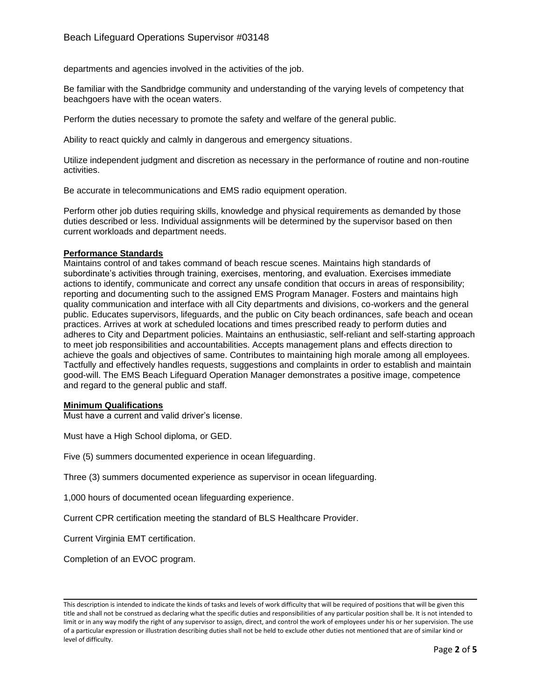departments and agencies involved in the activities of the job.

Be familiar with the Sandbridge community and understanding of the varying levels of competency that beachgoers have with the ocean waters.

Perform the duties necessary to promote the safety and welfare of the general public.

Ability to react quickly and calmly in dangerous and emergency situations.

Utilize independent judgment and discretion as necessary in the performance of routine and non-routine activities.

Be accurate in telecommunications and EMS radio equipment operation.

Perform other job duties requiring skills, knowledge and physical requirements as demanded by those duties described or less. Individual assignments will be determined by the supervisor based on then current workloads and department needs.

### **Performance Standards**

Maintains control of and takes command of beach rescue scenes. Maintains high standards of subordinate's activities through training, exercises, mentoring, and evaluation. Exercises immediate actions to identify, communicate and correct any unsafe condition that occurs in areas of responsibility; reporting and documenting such to the assigned EMS Program Manager. Fosters and maintains high quality communication and interface with all City departments and divisions, co-workers and the general public. Educates supervisors, lifeguards, and the public on City beach ordinances, safe beach and ocean practices. Arrives at work at scheduled locations and times prescribed ready to perform duties and adheres to City and Department policies. Maintains an enthusiastic, self-reliant and self-starting approach to meet job responsibilities and accountabilities. Accepts management plans and effects direction to achieve the goals and objectives of same. Contributes to maintaining high morale among all employees. Tactfully and effectively handles requests, suggestions and complaints in order to establish and maintain good-will. The EMS Beach Lifeguard Operation Manager demonstrates a positive image, competence and regard to the general public and staff.

#### **Minimum Qualifications**

Must have a current and valid driver's license.

Must have a High School diploma, or GED.

Five (5) summers documented experience in ocean lifeguarding.

Three (3) summers documented experience as supervisor in ocean lifeguarding.

1,000 hours of documented ocean lifeguarding experience.

Current CPR certification meeting the standard of BLS Healthcare Provider.

Current Virginia EMT certification.

Completion of an EVOC program.

This description is intended to indicate the kinds of tasks and levels of work difficulty that will be required of positions that will be given this title and shall not be construed as declaring what the specific duties and responsibilities of any particular position shall be. It is not intended to limit or in any way modify the right of any supervisor to assign, direct, and control the work of employees under his or her supervision. The use of a particular expression or illustration describing duties shall not be held to exclude other duties not mentioned that are of similar kind or level of difficulty.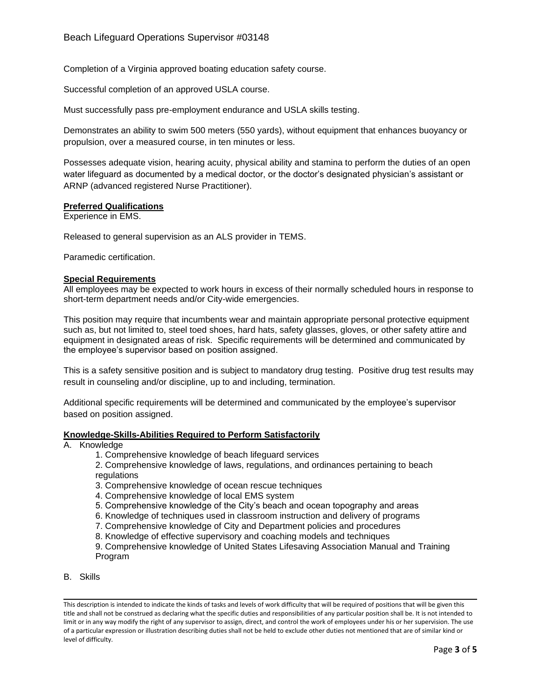Completion of a Virginia approved boating education safety course.

Successful completion of an approved USLA course.

Must successfully pass pre-employment endurance and USLA skills testing.

Demonstrates an ability to swim 500 meters (550 yards), without equipment that enhances buoyancy or propulsion, over a measured course, in ten minutes or less.

Possesses adequate vision, hearing acuity, physical ability and stamina to perform the duties of an open water lifeguard as documented by a medical doctor, or the doctor's designated physician's assistant or ARNP (advanced registered Nurse Practitioner).

### **Preferred Qualifications**

Experience in EMS.

Released to general supervision as an ALS provider in TEMS.

Paramedic certification.

#### **Special Requirements**

All employees may be expected to work hours in excess of their normally scheduled hours in response to short-term department needs and/or City-wide emergencies.

This position may require that incumbents wear and maintain appropriate personal protective equipment such as, but not limited to, steel toed shoes, hard hats, safety glasses, gloves, or other safety attire and equipment in designated areas of risk. Specific requirements will be determined and communicated by the employee's supervisor based on position assigned.

This is a safety sensitive position and is subject to mandatory drug testing. Positive drug test results may result in counseling and/or discipline, up to and including, termination.

Additional specific requirements will be determined and communicated by the employee's supervisor based on position assigned.

#### **Knowledge-Skills-Abilities Required to Perform Satisfactorily**

- A. Knowledge
	- 1. Comprehensive knowledge of beach lifeguard services
	- 2. Comprehensive knowledge of laws, regulations, and ordinances pertaining to beach regulations
	- 3. Comprehensive knowledge of ocean rescue techniques
	- 4. Comprehensive knowledge of local EMS system
	- 5. Comprehensive knowledge of the City's beach and ocean topography and areas
	- 6. Knowledge of techniques used in classroom instruction and delivery of programs
	- 7. Comprehensive knowledge of City and Department policies and procedures
	- 8. Knowledge of effective supervisory and coaching models and techniques
	- 9. Comprehensive knowledge of United States Lifesaving Association Manual and Training Program
- B. Skills

This description is intended to indicate the kinds of tasks and levels of work difficulty that will be required of positions that will be given this title and shall not be construed as declaring what the specific duties and responsibilities of any particular position shall be. It is not intended to limit or in any way modify the right of any supervisor to assign, direct, and control the work of employees under his or her supervision. The use of a particular expression or illustration describing duties shall not be held to exclude other duties not mentioned that are of similar kind or level of difficulty.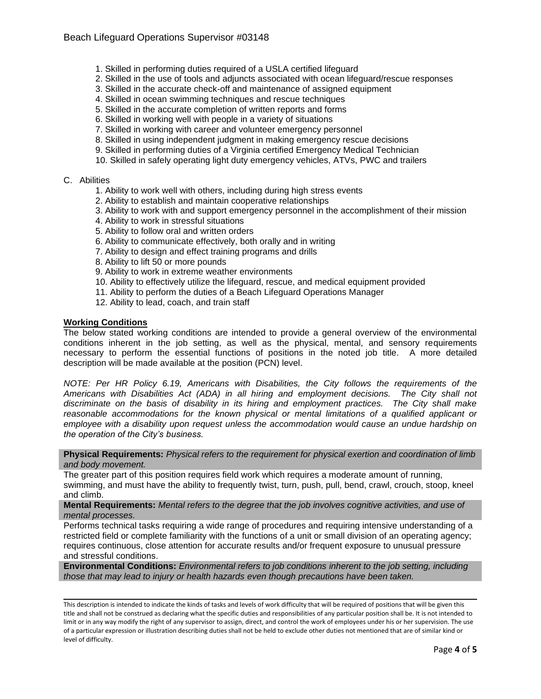- 1. Skilled in performing duties required of a USLA certified lifeguard
- 2. Skilled in the use of tools and adjuncts associated with ocean lifeguard/rescue responses
- 3. Skilled in the accurate check-off and maintenance of assigned equipment
- 4. Skilled in ocean swimming techniques and rescue techniques
- 5. Skilled in the accurate completion of written reports and forms
- 6. Skilled in working well with people in a variety of situations
- 7. Skilled in working with career and volunteer emergency personnel
- 8. Skilled in using independent judgment in making emergency rescue decisions
- 9. Skilled in performing duties of a Virginia certified Emergency Medical Technician
- 10. Skilled in safely operating light duty emergency vehicles, ATVs, PWC and trailers

#### C. Abilities

- 1. Ability to work well with others, including during high stress events
- 2. Ability to establish and maintain cooperative relationships
- 3. Ability to work with and support emergency personnel in the accomplishment of their mission
- 4. Ability to work in stressful situations
- 5. Ability to follow oral and written orders
- 6. Ability to communicate effectively, both orally and in writing
- 7. Ability to design and effect training programs and drills
- 8. Ability to lift 50 or more pounds
- 9. Ability to work in extreme weather environments
- 10. Ability to effectively utilize the lifeguard, rescue, and medical equipment provided
- 11. Ability to perform the duties of a Beach Lifeguard Operations Manager
- 12. Ability to lead, coach, and train staff

#### **Working Conditions**

The below stated working conditions are intended to provide a general overview of the environmental conditions inherent in the job setting, as well as the physical, mental, and sensory requirements necessary to perform the essential functions of positions in the noted job title. A more detailed description will be made available at the position (PCN) level.

*NOTE: Per HR Policy 6.19, Americans with Disabilities, the City follows the requirements of the Americans with Disabilities Act (ADA) in all hiring and employment decisions. The City shall not discriminate on the basis of disability in its hiring and employment practices. The City shall make reasonable accommodations for the known physical or mental limitations of a qualified applicant or employee with a disability upon request unless the accommodation would cause an undue hardship on the operation of the City's business.*

**Physical Requirements:** *Physical refers to the requirement for physical exertion and coordination of limb and body movement.*

The greater part of this position requires field work which requires a moderate amount of running, swimming, and must have the ability to frequently twist, turn, push, pull, bend, crawl, crouch, stoop, kneel and climb.

**Mental Requirements:** *Mental refers to the degree that the job involves cognitive activities, and use of mental processes.*

Performs technical tasks requiring a wide range of procedures and requiring intensive understanding of a restricted field or complete familiarity with the functions of a unit or small division of an operating agency; requires continuous, close attention for accurate results and/or frequent exposure to unusual pressure and stressful conditions.

**Environmental Conditions:** *Environmental refers to job conditions inherent to the job setting, including those that may lead to injury or health hazards even though precautions have been taken.*

This description is intended to indicate the kinds of tasks and levels of work difficulty that will be required of positions that will be given this title and shall not be construed as declaring what the specific duties and responsibilities of any particular position shall be. It is not intended to limit or in any way modify the right of any supervisor to assign, direct, and control the work of employees under his or her supervision. The use of a particular expression or illustration describing duties shall not be held to exclude other duties not mentioned that are of similar kind or level of difficulty.